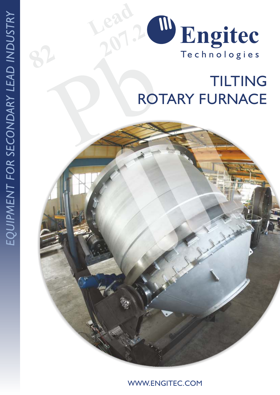

## Pb **TILTING** ROTARY FURNACE

WWW.ENGITEC.COM